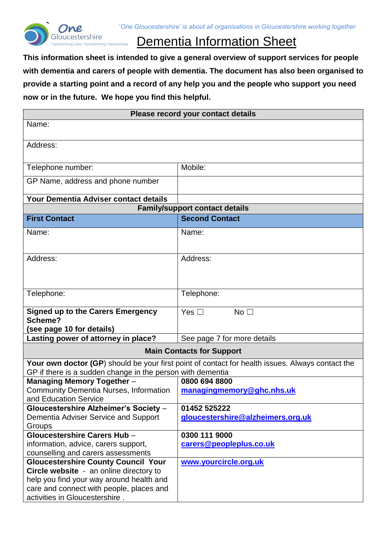<span id="page-0-0"></span>

# Dementia Information Sheet

**This information sheet is intended to give a general overview of support services for people with dementia and carers of people with dementia. The document has also been organised to provide a starting point and a record of any help you and the people who support you need now or in the future. We hope you find this helpful.**

| Please record your contact details                                                                                                                             |                                       |  |
|----------------------------------------------------------------------------------------------------------------------------------------------------------------|---------------------------------------|--|
| Name:                                                                                                                                                          |                                       |  |
|                                                                                                                                                                |                                       |  |
| Address:                                                                                                                                                       |                                       |  |
| Telephone number:                                                                                                                                              | Mobile:                               |  |
| GP Name, address and phone number                                                                                                                              |                                       |  |
| Your Dementia Adviser contact details                                                                                                                          |                                       |  |
|                                                                                                                                                                | <b>Family/support contact details</b> |  |
| <b>First Contact</b>                                                                                                                                           | <b>Second Contact</b>                 |  |
| Name:                                                                                                                                                          | Name:                                 |  |
| Address:                                                                                                                                                       | Address:                              |  |
| Telephone:                                                                                                                                                     | Telephone:                            |  |
| <b>Signed up to the Carers Emergency</b><br>Scheme?<br>(see page 10 for details)                                                                               | Yes $\square$<br>No <sub>1</sub>      |  |
| Lasting power of attorney in place?                                                                                                                            | See page 7 for more details           |  |
| <b>Main Contacts for Support</b>                                                                                                                               |                                       |  |
| Your own doctor (GP) should be your first point of contact for health issues. Always contact the<br>GP if there is a sudden change in the person with dementia |                                       |  |
| <b>Managing Memory Together -</b>                                                                                                                              | 0800 694 8800                         |  |
| <b>Community Dementia Nurses, Information</b><br>and Education Service                                                                                         | managingmemory@ghc.nhs.uk             |  |
| Gloucestershire Alzheimer's Society -                                                                                                                          | 01452 525222                          |  |
| Dementia Adviser Service and Support                                                                                                                           | gloucestershire@alzheimers.org.uk     |  |
| Groups                                                                                                                                                         |                                       |  |
| Gloucestershire Carers Hub -                                                                                                                                   | 0300 111 9000                         |  |
| information, advice, carers support,                                                                                                                           | carers@peopleplus.co.uk               |  |
| counselling and carers assessments                                                                                                                             |                                       |  |
| <b>Gloucestershire County Council Your</b>                                                                                                                     | www.yourcircle.org.uk                 |  |
| Circle website - an online directory to                                                                                                                        |                                       |  |
| help you find your way around health and<br>care and connect with people, places and                                                                           |                                       |  |
| activities in Gloucestershire.                                                                                                                                 |                                       |  |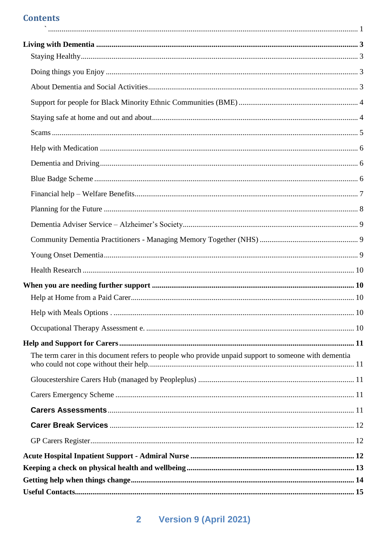#### **Contents**  $\ddot{\phantom{a}}$

| The term carer in this document refers to people who provide unpaid support to someone with dementia |  |
|------------------------------------------------------------------------------------------------------|--|
|                                                                                                      |  |
|                                                                                                      |  |
|                                                                                                      |  |
|                                                                                                      |  |
|                                                                                                      |  |
|                                                                                                      |  |
|                                                                                                      |  |
|                                                                                                      |  |
|                                                                                                      |  |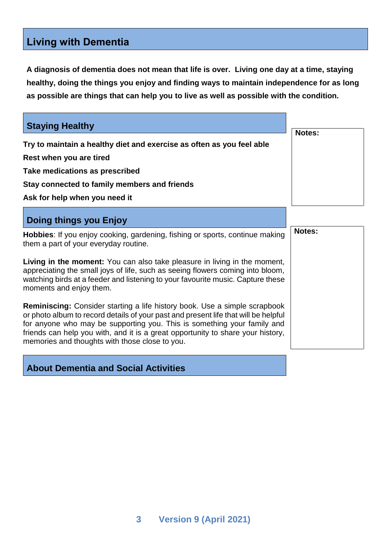# <span id="page-2-0"></span>**Living with Dementia**

**A diagnosis of dementia does not mean that life is over. Living one day at a time, staying healthy, doing the things you enjoy and finding ways to maintain independence for as long as possible are things that can help you to live as well as possible with the condition.**

<span id="page-2-2"></span><span id="page-2-1"></span>

| <b>Staying Healthy</b>                                                                                                                                                                                                                                                                                                                                                                   | <b>Notes:</b> |
|------------------------------------------------------------------------------------------------------------------------------------------------------------------------------------------------------------------------------------------------------------------------------------------------------------------------------------------------------------------------------------------|---------------|
| Try to maintain a healthy diet and exercise as often as you feel able                                                                                                                                                                                                                                                                                                                    |               |
| Rest when you are tired                                                                                                                                                                                                                                                                                                                                                                  |               |
| Take medications as prescribed                                                                                                                                                                                                                                                                                                                                                           |               |
| Stay connected to family members and friends                                                                                                                                                                                                                                                                                                                                             |               |
| Ask for help when you need it                                                                                                                                                                                                                                                                                                                                                            |               |
| Doing things you Enjoy                                                                                                                                                                                                                                                                                                                                                                   |               |
| Hobbies: If you enjoy cooking, gardening, fishing or sports, continue making<br>them a part of your everyday routine.                                                                                                                                                                                                                                                                    | Notes:        |
| Living in the moment: You can also take pleasure in living in the moment,<br>appreciating the small joys of life, such as seeing flowers coming into bloom,<br>watching birds at a feeder and listening to your favourite music. Capture these<br>moments and enjoy them.                                                                                                                |               |
| <b>Reminiscing:</b> Consider starting a life history book. Use a simple scrapbook<br>or photo album to record details of your past and present life that will be helpful<br>for anyone who may be supporting you. This is something your family and<br>friends can help you with, and it is a great opportunity to share your history,<br>memories and thoughts with those close to you. |               |

## <span id="page-2-3"></span>**About Dementia and Social Activities**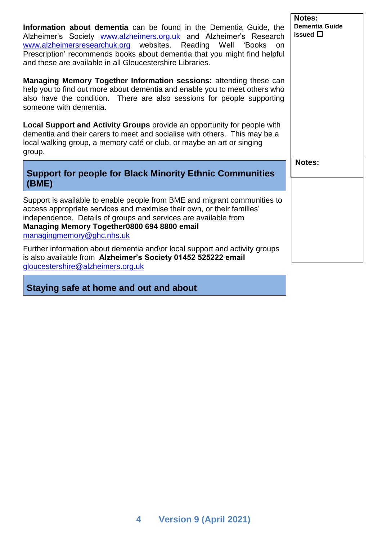**Information about dementia** can be found in the Dementia Guide, the Alzheimer's Society [www.alzheimers.org.uk](http://www.alzheimers.org.uk/) and Alzheimer's Research [www.alzheimersresearchuk.org](http://www.alzheimersresearchuk.org/) websites. Reading Well 'Books on Prescription' recommends books about dementia that you might find helpful and these are available in all Gloucestershire Libraries.

**Managing Memory Together Information sessions: attending these** help you to find out more about dementia and enable you to meet others also have the condition. There are also sessions for people support someone with dementia.

**Local Support and Activity Groups** provide an opportunity for people **w** dementia and their carers to meet and socialise with others. This may be local walking group, a memory café or club, or maybe an art or singing group.

#### <span id="page-3-0"></span>**Support for people for Black Minority Ethnic Communities (BME)**

Support is available to enable people from BME and migrant communities access appropriate services and maximise their own, or their families' independence. Details of groups and services are available from **Managing Memory Together0800 694 8800 email**  [managingmemory@ghc.nhs.uk](mailto:2gnft.managingmemory2g@nhs.net)

Further information about dementia and\or local support and activity group is also available from **Alzheimer's Society 01452 525222 email**  [gloucestershire@alzheimers.org.uk](mailto:gloucestershire@alzheimers.org.uk)

<span id="page-3-1"></span>**Staying safe at home and out and about**

| Notes: |  |
|--------|--|
|        |  |
|        |  |
|        |  |

**Notes:**

**Dementia Guide issued**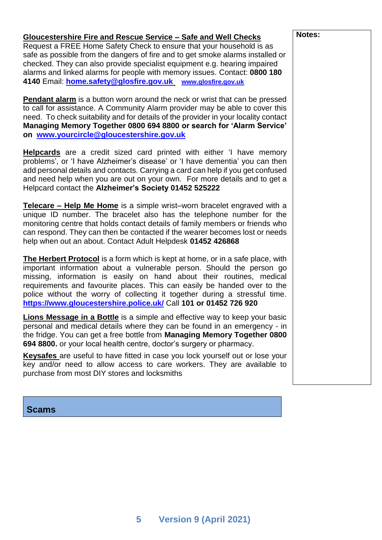#### **Gloucestershire Fire and Rescue Service – Safe and Well Checks**

Request a FREE Home Safety Check to ensure that your household is as safe as possible from the dangers of fire and to get smoke alarms installed or checked. They can also provide specialist equipment e.g. hearing impaired alarms and linked alarms for people with memory issues. Contact: **0800 180 4140** Email: **[home.safety@glosfire.gov.uk](http://home.safety@glosfire.gov.uk) [www.glosfire.gov.uk](http://www.glosfire.gov.uk/)**

**Pendant alarm** is a button worn around the neck or wrist that can be pressed to call for assistance. A Community Alarm provider may be able to cover this need. To check suitability and for details of the provider in your locality contact **Managing Memory Together 0800 694 8800 or search for 'Alarm Service' on [www.yourcircle@gloucestershire.gov.uk](http://www.yourcircle@gloucestershire.gov.uk)**

**Helpcards** are a credit sized card printed with either 'I have memory problems', or 'I have Alzheimer's disease' or 'I have dementia' you can then add personal details and contacts. Carrying a card can help if you get confused and need help when you are out on your own. For more details and to get a Helpcard contact the **Alzheimer's Society 01452 525222** 

**Telecare – Help Me Home** is a simple wrist–worn bracelet engraved with a unique ID number. The bracelet also has the telephone number for the monitoring centre that holds contact details of family members or friends who can respond. They can then be contacted if the wearer becomes lost or needs help when out an about. Contact Adult Helpdesk **01452 426868**

**The Herbert Protocol** is a form which is kept at home, or in a safe place, with important information about a vulnerable person. Should the person go missing, information is easily on hand about their routines, medical requirements and favourite places. This can easily be handed over to the police without the worry of collecting it together during a stressful time. **<https://www.gloucestershire.police.uk/>** Call **101 or 01452 726 920**

**Lions Message in a Bottle** is a simple and effective way to keep your basic personal and medical details where they can be found in an emergency - in the fridge. You can get a free bottle from **Managing Memory Together 0800 694 8800.** or your local health centre, doctor's surgery or pharmacy.

**Keysafes** are useful to have fitted in case you lock yourself out or lose your key and/or need to allow access to care workers. They are available to purchase from most DIY stores and locksmiths

<span id="page-4-0"></span>**Scams**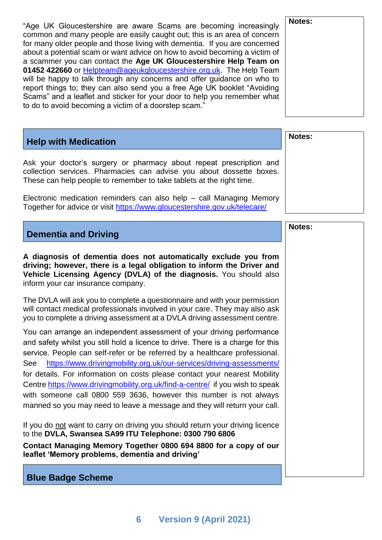"Age UK Gloucestershire are aware Scams are becoming increasingly common and many people are easily caught out; this is an area of concern for many older people and those living with dementia. If you are concerned about a potential scam or want advice on how to avoid becoming a victim of a scammer you can contact the **Age UK Gloucestershire Help Team on 01452 422660** or [Helpteam@ageukgloucestershire.org.uk.](mailto:Helpteam@ageukgloucestershire.org.uk) The Help Team will be happy to talk through any concerns and offer guidance on who to report things to; they can also send you a free Age UK booklet "Avoiding Scams" and a leaflet and sticker for your door to help you remember what to do to avoid becoming a victim of a doorstep scam."

## <span id="page-5-0"></span>**Help with Medication**

Ask your doctor's surgery or pharmacy about repeat prescription and collection services. Pharmacies can advise you about dossette boxes. These can help people to remember to take tablets at the right time.

Electronic medication reminders can also help – call Managing Memory Together for advice or visit<https://www.gloucestershire.gov.uk/telecare/>

<span id="page-5-1"></span>

|  |  |  | <b>Dementia and Driving</b> |  |
|--|--|--|-----------------------------|--|
|--|--|--|-----------------------------|--|

**A diagnosis of dementia does not automatically exclude you from driving; however, there is a legal obligation to inform the Driver and Vehicle Licensing Agency (DVLA) of the diagnosis.** You should also inform your car insurance company.

The DVLA will ask you to complete a questionnaire and with your permission will contact medical professionals involved in your care. They may also ask you to complete a driving assessment at a DVLA driving assessment centre.

You can arrange an independent assessment of your driving performance and safety whilst you still hold a licence to drive. There is a charge for this service. People can self-refer or be referred by a healthcare professional. See <https://www.drivingmobility.org.uk/our-services/driving-assessments/> for details. For information on costs please contact your nearest Mobility Centre <https://www.drivingmobility.org.uk/find-a-centre/>if you wish to speak with someone call 0800 559 3636, however this number is not always manned so you may need to leave a message and they will return your call.

If you do not want to carry on driving you should return your driving licence to the **DVLA, Swansea SA99 ITU Telephone: 0300 790 6806**

**Contact Managing Memory Together 0800 694 8800 for a copy of our leaflet 'Memory problems, dementia and driving'**

<span id="page-5-2"></span>**Blue Badge Scheme**

| Notes: |
|--------|
|        |
|        |
|        |
|        |
|        |
|        |
|        |
|        |

| Notes: |  |  |
|--------|--|--|
|        |  |  |
|        |  |  |
|        |  |  |
|        |  |  |

**Notes:**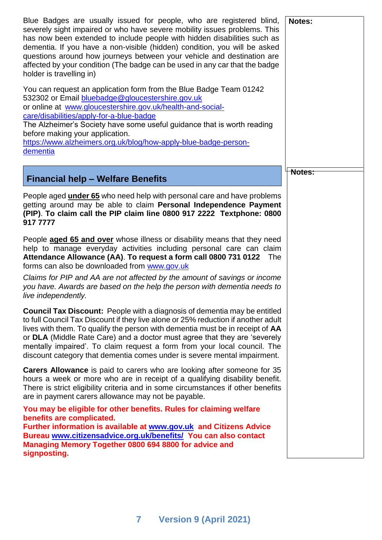<span id="page-6-0"></span>

| Blue Badges are usually issued for people, who are registered blind,<br>severely sight impaired or who have severe mobility issues problems. This<br>has now been extended to include people with hidden disabilities such as<br>dementia. If you have a non-visible (hidden) condition, you will be asked<br>questions around how journeys between your vehicle and destination are<br>affected by your condition (The badge can be used in any car that the badge<br>holder is travelling in) | Notes: |
|-------------------------------------------------------------------------------------------------------------------------------------------------------------------------------------------------------------------------------------------------------------------------------------------------------------------------------------------------------------------------------------------------------------------------------------------------------------------------------------------------|--------|
| You can request an application form from the Blue Badge Team 01242<br>532302 or Email bluebadge@gloucestershire.gov.uk<br>or online at www.gloucestershire.gov.uk/health-and-social-<br>care/disabilities/apply-for-a-blue-badge<br>The Alzheimer's Society have some useful guidance that is worth reading<br>before making your application.<br>https://www.alzheimers.org.uk/blog/how-apply-blue-badge-person-<br>dementia                                                                   |        |
| <b>Financial help - Welfare Benefits</b>                                                                                                                                                                                                                                                                                                                                                                                                                                                        | Notes: |
| People aged <b>under 65</b> who need help with personal care and have problems<br>getting around may be able to claim Personal Independence Payment<br>(PIP). To claim call the PIP claim line 0800 917 2222 Textphone: 0800<br>917 7777                                                                                                                                                                                                                                                        |        |
| People <b>aged 65 and over</b> whose illness or disability means that they need<br>help to manage everyday activities including personal care can claim<br>Attendance Allowance (AA). To request a form call 0800 731 0122<br>The<br>forms can also be downloaded from www.gov.uk                                                                                                                                                                                                               |        |
| Claims for PIP and AA are not affected by the amount of savings or income<br>you have. Awards are based on the help the person with dementia needs to<br>live independently.                                                                                                                                                                                                                                                                                                                    |        |
| <b>Council Tax Discount:</b> People with a diagnosis of dementia may be entitled<br>to full Council Tax Discount if they live alone or 25% reduction if another adult<br>lives with them. To qualify the person with dementia must be in receipt of AA<br>or DLA (Middle Rate Care) and a doctor must agree that they are 'severely<br>mentally impaired'. To claim request a form from your local council. The<br>discount category that dementia comes under is severe mental impairment.     |        |
| Carers Allowance is paid to carers who are looking after someone for 35<br>hours a week or more who are in receipt of a qualifying disability benefit.<br>There is strict eligibility criteria and in some circumstances if other benefits<br>are in payment carers allowance may not be payable.                                                                                                                                                                                               |        |
| You may be eligible for other benefits. Rules for claiming welfare<br>benefits are complicated.<br>Further information is available at www.gov.uk and Citizens Advice<br>Bureau www.citizensadvice.org.uk/benefits/ You can also contact<br>Managing Memory Together 0800 694 8800 for advice and<br>signposting.                                                                                                                                                                               |        |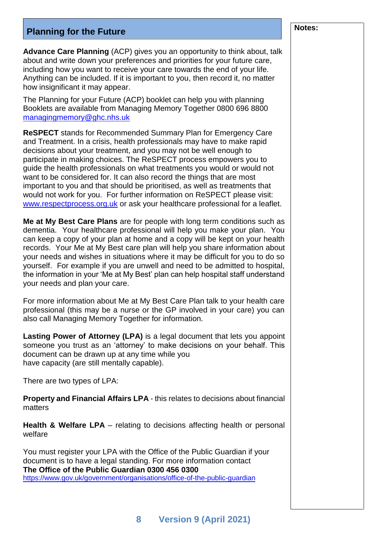# <span id="page-7-0"></span>**Planning for the Future Notes: Notes: Notes:**

**Advance Care Planning** (ACP) gives you an opportunity to think about, talk about and write down your preferences and priorities for your future care, including how you want to receive your care towards the end of your life. Anything can be included. If it is important to you, then record it, no matter how insignificant it may appear.

The Planning for your Future (ACP) booklet can help you with planning Booklets are available from Managing Memory Together 0800 696 8800 [managingmemory@ghc.nhs.uk](mailto:managingmemory@ghc.nhs.uk)

**ReSPECT** stands for Recommended Summary Plan for Emergency Care and Treatment. In a crisis, health professionals may have to make rapid decisions about your treatment, and you may not be well enough to participate in making choices. The ReSPECT process empowers you to guide the health professionals on what treatments you would or would not want to be considered for. It can also record the things that are most important to you and that should be prioritised, as well as treatments that would not work for you. For further information on ReSPECT please visit: [www.respectprocess.org.uk](http://www.respectprocess.org.uk/) or ask your healthcare professional for a leaflet.

**Me at My Best Care Plans** are for people with long term conditions such as dementia. Your healthcare professional will help you make your plan. You can keep a copy of your plan at home and a copy will be kept on your health records. Your Me at My Best care plan will help you share information about your needs and wishes in situations where it may be difficult for you to do so yourself. For example if you are unwell and need to be admitted to hospital, the information in your 'Me at My Best' plan can help hospital staff understand your needs and plan your care.

For more information about Me at My Best Care Plan talk to your health care professional (this may be a nurse or the GP involved in your care) you can also call Managing Memory Together for information.

**Lasting Power of Attorney (LPA)** is a legal document that lets you appoint someone you trust as an 'attorney' to make decisions on your behalf. This document can be drawn up at any time while you have capacity (are still mentally capable).

There are two types of LPA:

**Property and Financial Affairs LPA** - this relates to decisions about financial matters

**Health & Welfare LPA** – relating to decisions affecting health or personal welfare

You must register your LPA with the Office of the Public Guardian if your document is to have a legal standing. For more information contact **The Office of the Public Guardian 0300 456 0300** <https://www.gov.uk/government/organisations/office-of-the-public-guardian>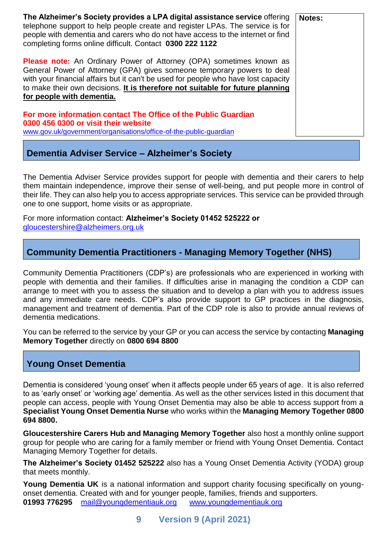| The Alzheimer's Society provides a LPA digital assistance service offering<br>telephone support to help people create and register LPAs. The service is for<br>people with dementia and carers who do not have access to the internet or find<br>completing forms online difficult. Contact 0300 222 1122                                                | Notes: |
|----------------------------------------------------------------------------------------------------------------------------------------------------------------------------------------------------------------------------------------------------------------------------------------------------------------------------------------------------------|--------|
| <b>Please note:</b> An Ordinary Power of Attorney (OPA) sometimes known as<br>General Power of Attorney (GPA) gives someone temporary powers to deal<br>with your financial affairs but it can't be used for people who have lost capacity<br>to make their own decisions. It is therefore not suitable for future planning<br>for people with dementia. |        |
| For more information contact The Office of the Public Guardian<br>0300 456 0300 or visit their website<br>www.gov.uk/government/organisations/office-of-the-public-guardian                                                                                                                                                                              |        |

#### <span id="page-8-0"></span>**Dementia Adviser Service – Alzheimer's Society**

The Dementia Adviser Service provides support for people with dementia and their carers to help them maintain independence, improve their sense of well-being, and put people more in control of their life. They can also help you to access appropriate services. This service can be provided through one to one support, home visits or as appropriate.

For more information contact: **Alzheimer's Society 01452 525222 or**  [gloucestershire@alzheimers.org.uk](mailto:gloucestershire@alzheimers.org.uk)

## <span id="page-8-1"></span>**Community Dementia Practitioners - Managing Memory Together (NHS)**

Community Dementia Practitioners (CDP's) are professionals who are experienced in working with people with dementia and their families. If difficulties arise in managing the condition a CDP can arrange to meet with you to assess the situation and to develop a plan with you to address issues and any immediate care needs. CDP's also provide support to GP practices in the diagnosis, management and treatment of dementia. Part of the CDP role is also to provide annual reviews of dementia medications.

You can be referred to the service by your GP or you can access the service by contacting **Managing Memory Together** directly on **0800 694 8800**

## <span id="page-8-2"></span>**Young Onset Dementia**

Dementia is considered 'young onset' when it affects people under 65 years of age. It is also referred to as 'early onset' or 'working age' dementia. As well as the other services listed in this document that people can access, people with Young Onset Dementia may also be able to access support from a **Specialist Young Onset Dementia Nurse** who works within the **Managing Memory Together 0800 694 8800.**

**Gloucestershire Carers Hub and Managing Memory Together** also host a monthly online support group for people who are caring for a family member or friend with Young Onset Dementia. Contact Managing Memory Together for details.

**The Alzheimer's Society 01452 525222** also has a Young Onset Dementia Activity (YODA) group that meets monthly.

**Young Dementia UK** is a national information and support charity focusing specifically on youngonset dementia. Created with and for younger people, families, friends and supporters. **01993 776295** [mail@youngdementiauk.org](mailto:mail@youngdementiauk.org) [www.youngdementiauk.org](http://www.youngdementiauk.org/)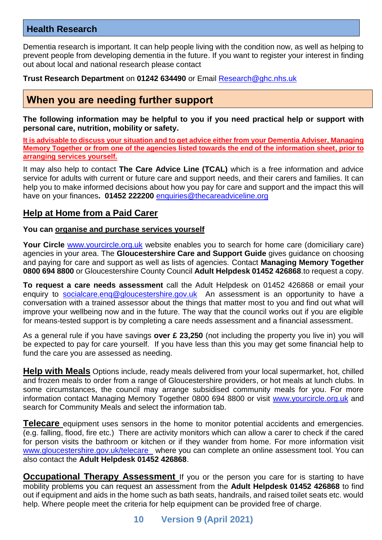#### <span id="page-9-0"></span>**Health Research**

Dementia research is important. It can help people living with the condition now, as well as helping to prevent people from developing dementia in the future. If you want to register your interest in finding out about local and national research please contact

**Trust Research Department** on **01242 634490** or Email [Research@ghc.nhs.uk](mailto:Research@ghc.nhs.uk)

## <span id="page-9-1"></span>**When you are needing further support**

**The following information may be helpful to you if you need practical help or support with personal care, nutrition, mobility or safety.** 

**It is advisable to discuss your situation and to get advice either from your Dementia Adviser, Managing Memory Together or from one of the agencies listed towards the end of the information sheet, prior to arranging services yourself.** 

It may also help to contact **The Care Advice Line (TCAL)** which is a free information and advice service for adults with current or future care and support needs, and their carers and families. It can help you to make informed decisions about how you pay for care and support and the impact this will have on your finances**. 01452 222200** [enquiries@thecareadviceline.org](mailto:enquiries@thecareadviceline.org)

#### <span id="page-9-2"></span>**Help at Home from a Paid Carer**

#### **You can organise and purchase services yourself**

**Your Circle** [www.yourcircle.org.uk](http://www.yourcircle.org.uk/) website enables you to search for home care (domiciliary care) agencies in your area. The **Gloucestershire Care and Support Guide** gives guidance on choosing and paying for care and support as well as lists of agencies. Contact **Managing Memory Together 0800 694 8800** or Gloucestershire County Council **Adult Helpdesk 01452 426868**.to request a copy.

**To request a care needs assessment** call the Adult Helpdesk on 01452 426868 or email your enquiry to socialcare.eng@gloucestershire.gov.uk An assessment is an opportunity to have a conversation with a trained assessor about the things that matter most to you and find out what will improve your wellbeing now and in the future. The way that the council works out if you are eligible for means-tested support is by completing a care needs assessment and a financial assessment.

As a general rule if you have savings **over £ 23,250** (not including the property you live in) you will be expected to pay for care yourself. If you have less than this you may get some financial help to fund the care you are assessed as needing.

<span id="page-9-3"></span>**Help with Meals** Options include, ready meals delivered from your local supermarket, hot, chilled and frozen meals to order from a range of Gloucestershire providers, or hot meals at lunch clubs. In some circumstances, the council may arrange subsidised community meals for you. For more information contact Managing Memory Together 0800 694 8800 or visit [www.yourcircle.org.uk](http://www.yourcircle.org.uk/) and search for Community Meals and select the information tab.

**Telecare** equipment uses sensors in the home to monitor potential accidents and emergencies. (e.g. falling, flood, fire etc.) There are activity monitors which can allow a carer to check if the cared for person visits the bathroom or kitchen or if they wander from home. For more information visit [www.gloucestershire.gov.uk/telecare](http://www.gloucestershire.gov.uk/telecare) where you can complete an online assessment tool. You can also contact the **Adult Helpdesk 01452 426868**.

<span id="page-9-4"></span>**Occupational Therapy Assessment** If you or the person you care for is starting to have mobility problems you can request an assessment from the **Adult Helpdesk 01452 426868** to find out if equipment and aids in the home such as bath seats, handrails, and raised toilet seats etc. would help. Where people meet the criteria for help equipment can be provided free of charge.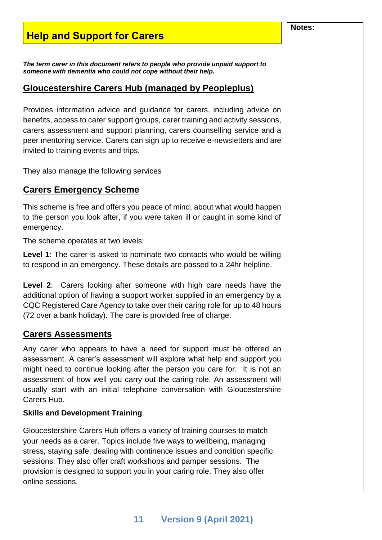# <span id="page-10-0"></span>**Help and Support for Carers**

<span id="page-10-1"></span>*The term carer in this document refers to people who provide unpaid support to someone with dementia who could not cope without their help.* 

#### <span id="page-10-2"></span>**Gloucestershire Carers Hub (managed by Peopleplus)**

Provides information advice and guidance for carers, including advice on benefits, access to carer support groups, carer training and activity sessions, carers assessment and support planning, carers counselling service and a peer mentoring service. Carers can sign up to receive e-newsletters and are invited to training events and trips.

They also manage the following services

#### <span id="page-10-3"></span>**Carers Emergency Scheme**

This scheme is free and offers you peace of mind, about what would happen to the person you look after, if you were taken ill or caught in some kind of emergency.

The scheme operates at two levels:

**Level 1**: The carer is asked to nominate two contacts who would be willing to respond in an emergency. These details are passed to a 24hr helpline.

**Level 2**: Carers looking after someone with high care needs have the additional option of having a support worker supplied in an emergency by a CQC Registered Care Agency to take over their caring role for up to 48 hours (72 over a bank holiday). The care is provided free of charge.

#### <span id="page-10-4"></span>**Carers Assessments**

Any carer who appears to have a need for support must be offered an assessment. A carer's assessment will explore what help and support you might need to continue looking after the person you care for. It is not an assessment of how well you carry out the caring role. An assessment will usually start with an initial telephone conversation with Gloucestershire Carers Hub.

#### **Skills and Development Training**

Gloucestershire Carers Hub offers a variety of training courses to match your needs as a carer. Topics include five ways to wellbeing, managing stress, staying safe, dealing with continence issues and condition specific sessions. They also offer craft workshops and pamper sessions. The provision is designed to support you in your caring role. They also offer online sessions.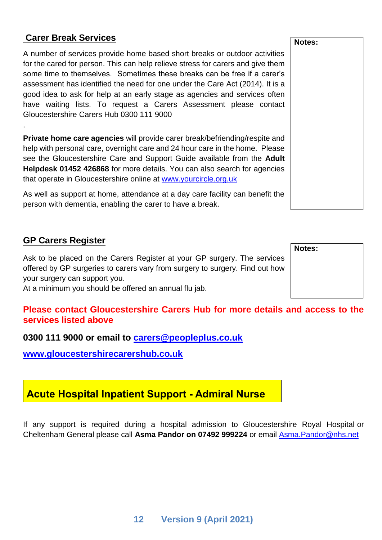#### <span id="page-11-0"></span>**Carer Break Services**

.

A number of services provide home based short breaks or outdoor activities for the cared for person. This can help relieve stress for carers and give them some time to themselves. Sometimes these breaks can be free if a carer's assessment has identified the need for one under the Care Act (2014). It is a good idea to ask for help at an early stage as agencies and services often have waiting lists. To request a Carers Assessment please contact Gloucestershire Carers Hub 0300 111 9000

**Private home care agencies** will provide carer break/befriending/respite and help with personal care, overnight care and 24 hour care in the home. Please see the Gloucestershire Care and Support Guide available from the **Adult Helpdesk 01452 426868** for more details. You can also search for agencies that operate in Gloucestershire online at [www.yourcircle.org.uk](http://www.yourcircle.org.uk/)

As well as support at home, attendance at a day care facility can benefit the person with dementia, enabling the carer to have a break.

#### <span id="page-11-1"></span>**GP Carers Register**

Ask to be placed on the Carers Register at your GP surgery. The services offered by GP surgeries to carers vary from surgery to surgery. Find out how your surgery can support you.

At a minimum you should be offered an annual flu jab.

#### **Please contact Gloucestershire Carers Hub for more details and access to the services listed above**

**0300 111 9000 or email to [carers@peopleplus.co.uk](mailto:carers@peopleplus.co.uk)** 

**[www.gloucestershirecarershub.co.uk](http://www.gloucestershirecarershub.co.uk/)**

# <span id="page-11-2"></span>**Acute Hospital Inpatient Support - Admiral Nurse**

If any support is required during a hospital admission to Gloucestershire Royal Hospital or Cheltenham General please call **Asma Pandor on 07492 999224** or email [Asma.Pandor@nhs.net](mailto:Asma.Pandor@nhs.net)

**Notes:**

#### **Notes:**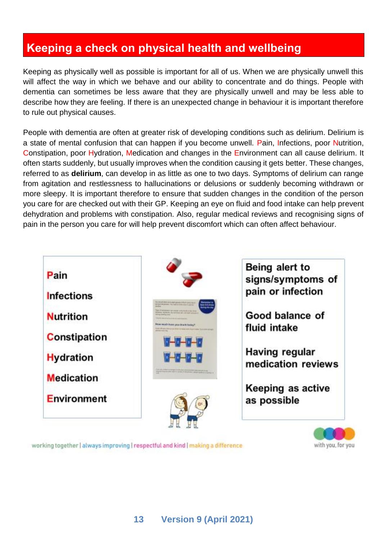# <span id="page-12-0"></span>**Keeping a check on physical health and wellbeing**

Keeping as physically well as possible is important for all of us. When we are physically unwell this will affect the way in which we behave and our ability to concentrate and do things. People with dementia can sometimes be less aware that they are physically unwell and may be less able to describe how they are feeling. If there is an unexpected change in behaviour it is important therefore to rule out physical causes.

People with dementia are often at greater risk of developing conditions such as delirium. Delirium is a state of mental confusion that can happen if you become unwell. Pain, Infections, poor Nutrition, Constipation, poor Hydration, Medication and changes in the Environment can all cause delirium. It often starts suddenly, but usually improves when the condition causing it gets better. These changes, referred to as **delirium**, can develop in as little as one to two days. Symptoms of delirium can range from agitation and restlessness to hallucinations or delusions or suddenly becoming withdrawn or more sleepy. It is important therefore to ensure that sudden changes in the condition of the person you care for are checked out with their GP. Keeping an eye on fluid and food intake can help prevent dehydration and problems with constipation. Also, regular medical reviews and recognising signs of pain in the person you care for will help prevent discomfort which can often affect behaviour.



working together | always improving | respectful and kind | making a difference

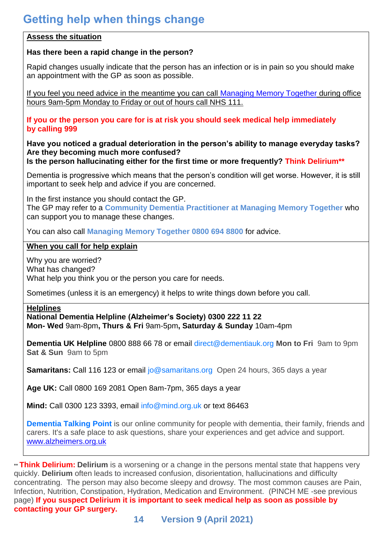#### <span id="page-13-0"></span>**Assess the situation**

#### **Has there been a rapid change in the person?**

Rapid changes usually indicate that the person has an infection or is in pain so you should make an appointment with the GP as soon as possible.

If you feel you need advice in the meantime you can call [Managing Memory Together](https://www.ghc.nhs.uk/our-teams-and-services/managing-memory-together/) during office hours 9am-5pm Monday to Friday or out of hours call NHS 111.

**If you or the person you care for is at risk you should seek medical help immediately by calling 999**

**Have you noticed a gradual deterioration in the person's ability to manage everyday tasks? Are they becoming much more confused?** 

**Is the person hallucinating either for the first time or more frequently? Think Delirium\*\***

Dementia is progressive which means that the person's condition will get worse. However, it is still important to seek help and advice if you are concerned.

In the first instance you should contact the GP.

The GP may refer to a **Community Dementia Practitioner at Managing Memory Together** who can support you to manage these changes.

You can also call **Managing Memory Together 0800 694 8800** for advice.

#### **When you call for help explain**

Why you are worried? What has changed? What help you think you or the person you care for needs.

Sometimes (unless it is an emergency) it helps to write things down before you call.

#### **Helplines**

**National Dementia Helpline (Alzheimer's Society) [0300 222 11 22](tel:0300%20222%2011%2022) Mon- Wed** 9am-8pm**, Thurs & Fri** 9am-5pm**, Saturday & Sunday** 10am-4pm

**Dementia UK Helpline** 0800 888 66 78 or email [direct@dementiauk.org](mailto:direct@dementiauk.org) **Mon to Fri** 9am to 9pm **Sat & Sun** 9am to 5pm

**Samaritans:** Call 116 123 or email [jo@samaritans.org](mailto:jo@samaritans.org) Open 24 hours, 365 days a year

**Age UK:** Call 0800 169 2081 Open 8am-7pm, 365 days a year

**Mind:** Call 0300 123 3393, email [info@mind.org.uk](mailto:info@mind.org.uk) or text 86463

**[Dementia Talking Point](https://forum.alzheimers.org.uk/)** is our online community for people with dementia, their family, friends and carers. It's a safe place to ask questions, share your experiences and get advice and support. [www.alzheimers.org.uk](http://www.alzheimers.org.uk/)

\*\* **Think Delirium: Delirium** is a worsening or a change in the persons mental state that happens very quickly. **Delirium** often leads to increased confusion, disorientation, hallucinations and difficulty concentrating. The person may also become sleepy and drowsy. The most common causes are Pain, Infection, Nutrition, Constipation, Hydration, Medication and Environment. (PINCH ME -see previous page) **If you suspect Delirium it is important to seek medical help as soon as possible by contacting your GP surgery.**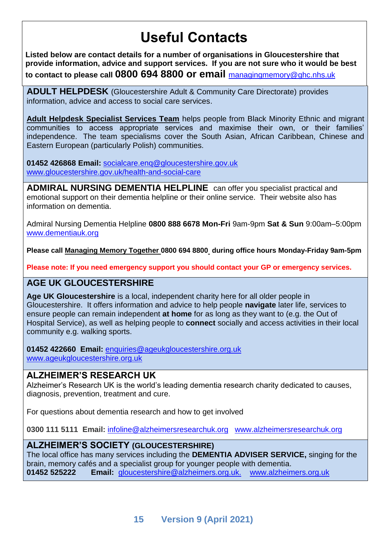# **Useful Contacts**

<span id="page-14-0"></span>**Listed below are contact details for a number of organisations in Gloucestershire that provide information, advice and support services. If you are not sure who it would be best to contact to please call 0800 694 8800 or email** [managingmemory@ghc.nhs.uk](mailto:2gnft.ManagingMemory2g@nhs.net)

**ADULT HELPDESK** (Gloucestershire Adult & Community Care Directorate) provides information, advice and access to social care services.

**Adult Helpdesk Specialist Services Team** helps people from Black Minority Ethnic and migrant communities to access appropriate services and maximise their own, or their families' independence. The team specialisms cover the South Asian, African Caribbean, Chinese and Eastern European (particularly Polish) communities.

**01452 426868 Email:** [socialcare.enq@gloucestershire.gov.uk](mailto:socialcare.enq@gloucestershire.gov.uk) www.gloucestershire.gov.uk/health-and-social-care

**ADMIRAL NURSING DEMENTIA HELPLINE** can offer you specialist practical and emotional support on their dementia helpline or their online service. Their website also has information on dementia.

Admiral Nursing Dementia Helpline **0800 888 6678 Mon-Fri** 9am-9pm **Sat & Sun** 9:00am–5:00pm [www.dementiauk.org](http://www.dementiauk.org/)

**Please call Managing Memory Together 0800 694 8800 during office hours Monday-Friday 9am-5pm** 

**Please note: If you need emergency support you should contact your GP or emergency services.**

## **AGE UK GLOUCESTERSHIRE**

**Age UK Gloucestershire** is a local, independent charity here for all older people in Gloucestershire. It offers information and advice to help people **navigate** later life, services to ensure people can remain independent **at home** for as long as they want to (e.g. the Out of Hospital Service), as well as helping people to **connect** socially and access activities in their local community e.g. walking sports.

**01452 422660 Email:** [enquiries@ageukgloucestershire.org.uk](mailto:enquiries@ageukgloucestershire.org.uk) [www.ageukgloucestershire.org.uk](http://www.ageukgloucestershire.org.uk/)

#### **ALZHEIMER'S RESEARCH UK**

Alzheimer's Research UK is the world's leading dementia research charity dedicated to causes, diagnosis, prevention, treatment and cure.

For questions about dementia research and how to get involved

**0300 111 5111 Email:** [infoline@alzheimersresearchuk.org](mailto:infoline@alzheimersresearchuk.org) [www.alzheimersresearchuk.org](http://www.alzheimersresearchuk.org/)

#### **ALZHEIMER'S SOCIETY (GLOUCESTERSHIRE)**

The local office has many services including the **DEMENTIA ADVISER SERVICE,** singing for the brain, memory cafés and a specialist group for younger people with dementia. **01452 525222 Email:** gloucestershire@alzheimers.org.uk. [www.alzheimers.org.uk](http://www.alzheimers.org.uk/site/custom_scripts/branch.php?branch=true&branchCode=14546)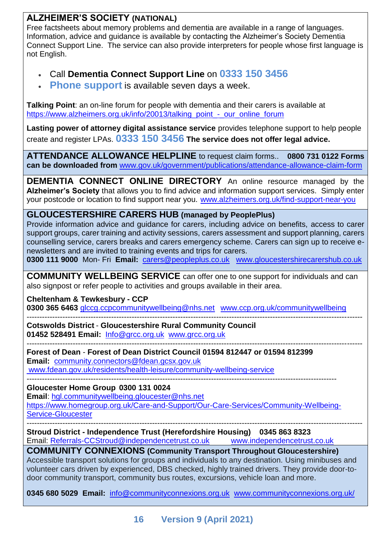## **ALZHEIMER'S SOCIETY (NATIONAL)**

Free factsheets about memory problems and dementia are available in a range of languages. Information, advice and guidance is available by contacting the Alzheimer's Society Dementia Connect Support Line. The service can also provide interpreters for people whose first language is not English.

## • Call **Dementia Connect Support Line** on **[0333 150 3456](tel:0333%20150%203456)**

**[Phone support](https://www.alzheimers.org.uk/get-support/dementia-connect-support-line)** is available seven days a week.

**Talking Point**: an on-line forum for people with dementia and their carers is available at https://www.alzheimers.org.uk/info/20013/talking\_point\_-\_our\_online\_forum

**Lasting power of attorney digital assistance service** provides telephone support to help people create and register LPAs. **[0333 150 3456](tel:0333%20150%203456) The service does not offer legal advice.**

**ATTENDANCE ALLOWANCE HELPLINE** to request claim forms.. **0800 731 0122 Forms can be downloaded from** [www.gov.uk/government/publications/attendance-allowance-claim-form](http://www.gov.uk/government/publications/attendance-allowance-claim-form)

**DEMENTIA CONNECT ONLINE DIRECTORY** An online resource managed by the **Alzheimer's Society** that allows you to find advice and information support services. Simply enter your postcode or location to find support near you. [www.alzheimers.org.uk/find-support-near-you](http://www.alzheimers.org.uk/find-support-near-you)

#### **GLOUCESTERSHIRE CARERS HUB (managed by PeoplePlus)**

Provide information advice and guidance for carers, including advice on benefits, access to carer support groups, carer training and activity sessions, carers assessment and support planning, carers counselling service, carers breaks and carers emergency scheme. Carers can sign up to receive enewsletters and are invited to training events and trips for carers.

**0300 111 9000** Mon- Fri **Email:** [carers@peopleplus.co.uk](mailto:carers@peopleplus.co.uk) [www.gloucestershirecarershub.co.uk](http://www.gloucestershirecarershub.co.uk/)

**COMMUNITY WELLBEING SERVICE** can offer one to one support for individuals and can also signpost or refer people to activities and groups available in their area.

**Cheltenham & Tewkesbury - CCP**

**0300 365 6463** glccg.ccpcommunitywellbeing@nhs.net [www.ccp.org.uk/communitywellbeing](http://www.ccp.org.uk/communitywellbeing)

----------------------------------------------------------------------------------------------------------------------------------- **Cotswolds District** - **Gloucestershire Rural Community Council 01452 528491 Email:** [Info@grcc.org.uk](mailto:Info@grcc.org.uk) [www.grcc.org.uk](http://www.grcc.org.uk/) 

----------------------------------------------------------------------------------------------------------------------------------- **Forest of Dean** - **Forest of Dean District Council 01594 812447 or 01594 812399**

**Email:** [community.connectors@fdean.gcsx.gov.uk](mailto:community.connectors@fdean.gcsx.gov.uk) [www.fdean.gov.uk/residents/health-leisure/community-wellbeing-service](http://www.fdean.gov.uk/residents/health-leisure/community-wellbeing-service)

------------------------------------------------------------------------------------------------------------------------- **Gloucester Home Group 0300 131 0024**

**Email**: [hgl.communitywellbeing.gloucester@nhs.net](mailto:hgl.communitywellbeing.gloucester@nhs.net)

[https://www.homegroup.org.uk/Care-and-Support/Our-Care-Services/Community-Wellbeing-](https://www.homegroup.org.uk/Care-and-Support/Our-Care-Services/Community-Wellbeing-Service-Gloucester)[Service-Gloucester](https://www.homegroup.org.uk/Care-and-Support/Our-Care-Services/Community-Wellbeing-Service-Gloucester)

-----------------------------------------------------------------------------------------------------------------------------------

**Stroud District - Independence Trust (Herefordshire Housing) 0345 863 8323** Email: [Referrals-CCStroud@independencetrust.co.uk](mailto:Referrals-CCStroud@independencetrust.co.uk) [www.independencetrust.co.uk](http://www.independencetrust.co.uk/)

**COMMUNITY CONNEXIONS (Community Transport Throughout Gloucestershire)** Accessible transport solutions for groups and individuals to any destination. Using minibuses and

volunteer cars driven by experienced, DBS checked, highly trained drivers. They provide door-todoor community transport, community bus routes, excursions, vehicle loan and more.

**0345 680 5029 Email:** [info@communityconnexions.org.uk](mailto:info@communityconnexions.org.uk) [www.communityconnexions.org.uk/](http://www.communityconnexions.org.uk/)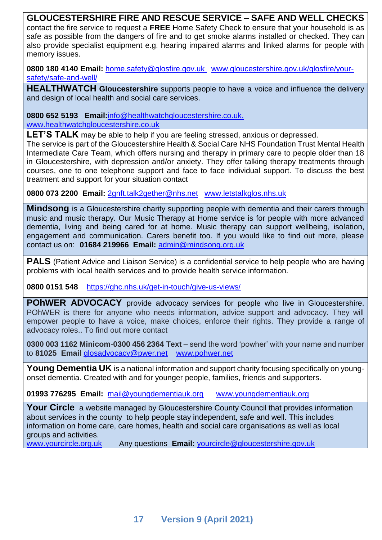#### **GLOUCESTERSHIRE FIRE AND RESCUE SERVICE – SAFE AND WELL CHECKS**

contact the fire service to request a **FREE** Home Safety Check to ensure that your household is as safe as possible from the dangers of fire and to get smoke alarms installed or checked. They can also provide specialist equipment e.g. hearing impaired alarms and linked alarms for people with memory issues.

**0800 180 4140 Email:** [home.safety@glosfire.gov.uk](http://home.safety@glosfire.gov.uk) [www.gloucestershire.gov.uk/glosfire/your](http://www.gloucestershire.gov.uk/glosfire/your-safety/safe-and-well/)[safety/safe-and-well/](http://www.gloucestershire.gov.uk/glosfire/your-safety/safe-and-well/)

**HEALTHWATCH Gloucestershire** supports people to have a voice and influence the delivery and design of local health and social care services.

**0800 652 5193 Email:**[info@healthwatchgloucestershire.co.uk.](mailto:info@healthwatchgloucestershire.co.uk) [www.healthwatchgloucestershire.co.uk](http://www.healthwatchgloucestershire.co.uk/)

LET'S TALK may be able to help if you are feeling stressed, anxious or depressed.

The service is part of the Gloucestershire Health & Social Care NHS Foundation Trust Mental Health Intermediate Care Team, which offers nursing and therapy in primary care to people older than 18 in Gloucestershire, with depression and/or anxiety. They offer talking therapy treatments through courses, one to one telephone support and face to face individual support. To discuss the best treatment and support for your situation contact

**0800 073 2200 Email:** [2gnft.talk2gether@nhs.net](mailto:2gnft.talk2gether@nhs.net)[www.letstalkglos.nhs.uk](http://www.letstalkglos.nhs.uk/)

**Mindsong** is a Gloucestershire charity supporting people with dementia and their carers through music and music therapy. Our Music Therapy at Home service is for people with more advanced dementia, living and being cared for at home. Music therapy can support wellbeing, isolation, engagement and communication. Carers benefit too. If you would like to find out more, please contact us on: **01684 219966 Email:** [admin@mindsong.org.uk](mailto:admin@mindsong.org.uk)

**PALS** (Patient Advice and Liaison Service) is a confidential service to help people who are having problems with local health services and to provide health service information.

**0800 0151 548** <https://ghc.nhs.uk/get-in-touch/give-us-views/>

**POHWER ADVOCACY** provide advocacy services for people who live in Gloucestershire. POhWER is there for anyone who needs information, advice support and advocacy. They will empower people to have a voice, make choices, enforce their rights. They provide a range of advocacy roles.. To find out more contact

**0300 003 1162 Minicom**-**0300 456 2364 Text** – send the word 'powher' with your name and number to **81025 Email** [glosadvocacy@pwer.net](mailto:glosadvocacy@pwer.net) [www.pohwer.net](http://www.pohwer.net/)

**Young Dementia UK** is a national information and support charity focusing specifically on youngonset dementia. Created with and for younger people, families, friends and supporters.

**01993 776295 Email:** [mail@youngdementiauk.org](mailto:mail@youngdementiauk.org) [www.youngdementiauk.org](http://www.youngdementiauk.org/)

**Your Circle** a website managed by Gloucestershire County Council that provides information about services in the county to help people stay independent, safe and well. This includes information on home care, care homes, health and social care organisations as well as local groups and activities.

[www.yourcircle.org.uk](http://www.yourcircle.org.uk/) Any questions **Email:** [yourcircle@gloucestershire.gov.uk](mailto:yourcircle@gloucestershire.gov.uk)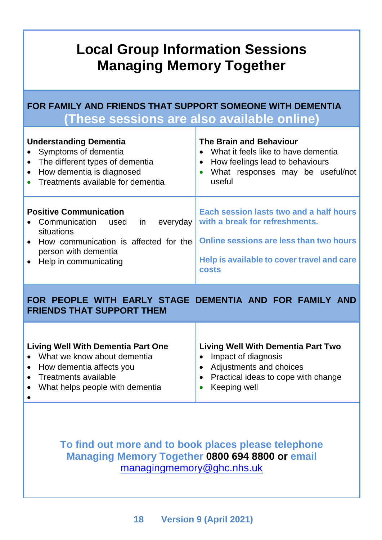# **Local Group Information Sessions Managing Memory Together**

**FOR FAMILY AND FRIENDS THAT SUPPORT SOMEONE WITH DEMENTIA (These sessions are also available online)**

| <b>Understanding Dementia</b><br>• Symptoms of dementia<br>The different types of dementia<br>How dementia is diagnosed<br>$\bullet$<br>Treatments available for dementia            | <b>The Brain and Behaviour</b><br>What it feels like to have dementia<br>$\bullet$<br>How feelings lead to behaviours<br>$\bullet$<br>What responses may be useful/not<br>useful   |
|--------------------------------------------------------------------------------------------------------------------------------------------------------------------------------------|------------------------------------------------------------------------------------------------------------------------------------------------------------------------------------|
| <b>Positive Communication</b><br>in<br>Communication<br>everyday<br>used<br>situations<br>• How communication is affected for the<br>person with dementia<br>• Help in communicating | Each session lasts two and a half hours<br>with a break for refreshments.<br>Online sessions are less than two hours<br>Help is available to cover travel and care<br><b>costs</b> |
| WITH EARLY STAGE DEMENTIA AND<br><b>FOR</b><br>PEOPLE                                                                                                                                | <b>FOR FAMILY</b>                                                                                                                                                                  |

| <b>FRIENDS THAT SUPPORT THEM</b>          |                                       |  |  |
|-------------------------------------------|---------------------------------------|--|--|
| <b>Living Well With Dementia Part One</b> | Living Well With Dementia Part Two    |  |  |
| • What we know about dementia             | Impact of diagnosis                   |  |  |
| • How dementia affects you                | Adjustments and choices<br>$\bullet$  |  |  |
| • Treatments available                    | • Practical ideas to cope with change |  |  |
| • What helps people with dementia         | Keeping well                          |  |  |

•

# **To find out more and to book places please telephone Managing Memory Together 0800 694 8800 or email**  [managingmemory@ghc.nhs.uk](mailto:2gnft.managingmemory2g@nhs.net)